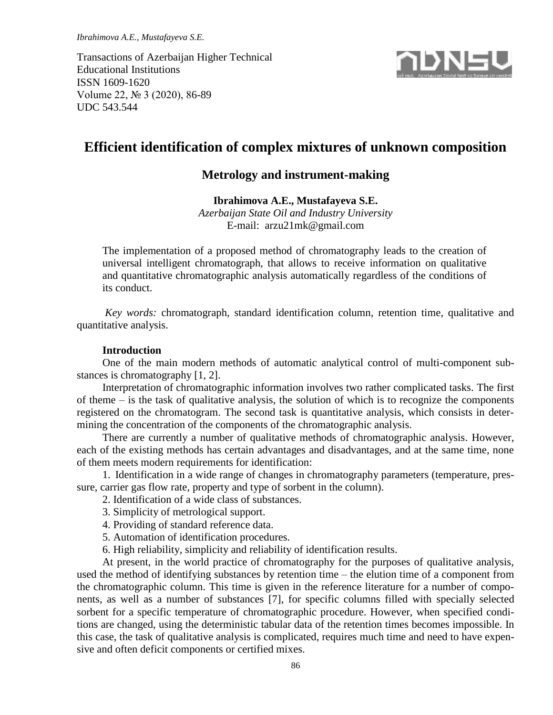*Ibrahimova A.E., Mustafayeva S.E.*

Transactions of Azerbaijan Higher Technical Educational Institutions ISSN 1609-1620 Volume 22, № 3 (2020), 86-89 UDC 543.544



# **Efficient identification of complex mixtures of unknown composition**

# **Metrology and instrument-making**

### **Ibrahimova A.E., Mustafayeva S.E.**

*Azerbaijan State Oil and Industry University* E-mail: arzu21mk@gmail.com

The implementation of a proposed method of chromatography leads to the creation of universal intelligent chromatograph, that allows to receive information on qualitative and quantitative chromatographic analysis automatically regardless of the conditions of its conduct.

*Key words:* chromatograph, standard identification column, retention time, qualitative and quantitative analysis.

# **Introduction**

One of the main modern methods of automatic analytical control of multi-component substances is chromatography [1, 2].

Interpretation of chromatographic information involves two rather complicated tasks. The first of theme – is the task of qualitative analysis, the solution of which is to recognize the components registered on the chromatogram. The second task is quantitative analysis, which consists in determining the concentration of the components of the chromatographic analysis.

There are currently a number of qualitative methods of chromatographic analysis. However, each of the existing methods has certain advantages and disadvantages, and at the same time, none of them meets modern requirements for identification:

1. Identification in a wide range of changes in chromatography parameters (temperature, pressure, carrier gas flow rate, property and type of sorbent in the column).

- 2. Identification of a wide class of substances.
- 3. Simplicity of metrological support.
- 4. Providing of standard reference data.
- 5. Automation of identification procedures.
- 6. High reliability, simplicity and reliability of identification results.

At present, in the world practice of chromatography for the purposes of qualitative analysis, used the method of identifying substances by retention time – the elution time of a component from the chromatographic column. This time is given in the reference literature for a number of components, as well as a number of substances [7], for specific columns filled with specially selected sorbent for a specific temperature of chromatographic procedure. However, when specified conditions are changed, using the deterministic tabular data of the retention times becomes impossible. In this case, the task of qualitative analysis is complicated, requires much time and need to have expensive and often deficit components or certified mixes.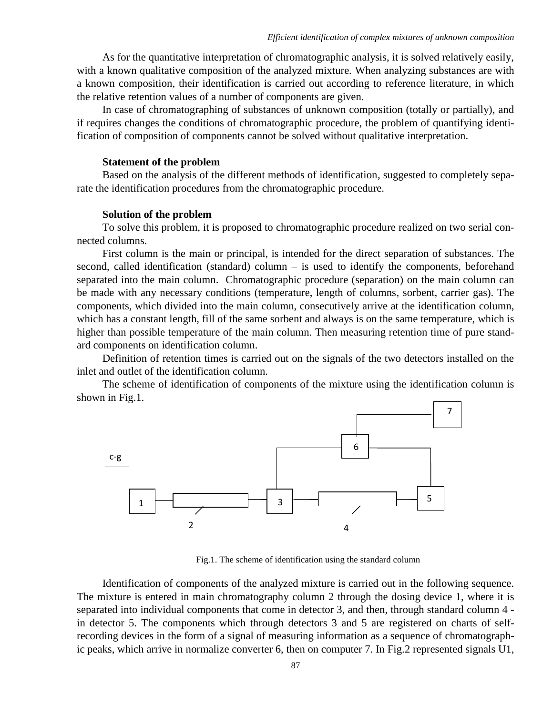As for the quantitative interpretation of chromatographic analysis, it is solved relatively easily, with a known qualitative composition of the analyzed mixture. When analyzing substances are with a known composition, their identification is carried out according to reference literature, in which the relative retention values of a number of components are given.

In case of chromatographing of substances of unknown composition (totally or partially), and if requires changes the conditions of chromatographic procedure, the problem of quantifying identification of composition of components cannot be solved without qualitative interpretation.

#### **Statement of the problem**

Based on the analysis of the different methods of identification, suggested to completely separate the identification procedures from the chromatographic procedure.

#### **Solution of the problem**

To solve this problem, it is proposed to chromatographic procedure realized on two serial connected columns.

First column is the main or principal, is intended for the direct separation of substances. The second, called identification (standard) column – is used to identify the components, beforehand separated into the main column. Chromatographic procedure (separation) on the main column can be made with any necessary conditions (temperature, length of columns, sorbent, carrier gas). The components, which divided into the main column, consecutively arrive at the identification column, which has a constant length, fill of the same sorbent and always is on the same temperature, which is higher than possible temperature of the main column. Then measuring retention time of pure standard components on identification column.

Definition of retention times is carried out on the signals of the two detectors installed on the inlet and outlet of the identification column.

The scheme of identification of components of the mixture using the identification column is shown in Fig.1.



Fig.1. The scheme of identification using the standard column

Identification of components of the analyzed mixture is carried out in the following sequence. The mixture is entered in main chromatography column 2 through the dosing device 1, where it is separated into individual components that come in detector 3, and then, through standard column 4 in detector 5. The components which through detectors 3 and 5 are registered on charts of selfrecording devices in the form of a signal of measuring information as a sequence of chromatographic peaks, which arrive in normalize converter 6, then on computer 7. In Fig.2 represented signals U1,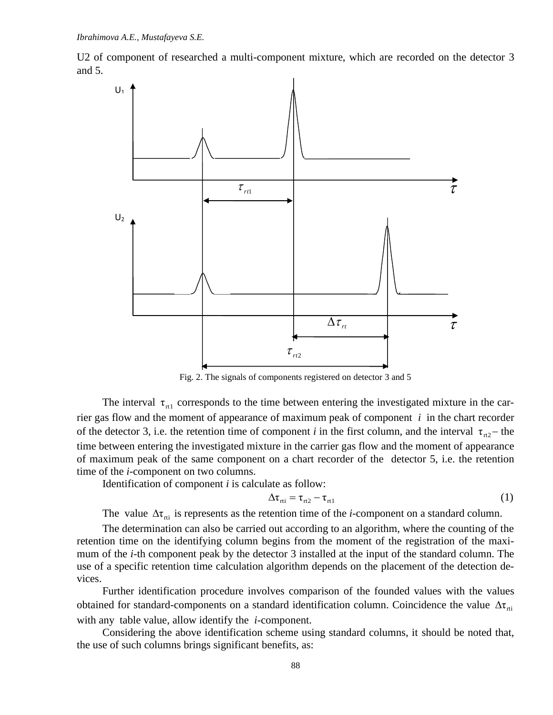U2 of component of researched a multi-component mixture, which are recorded on the detector 3 and 5.



Fig. 2. The signals of components registered on detector 3 and 5

The interval  $\tau_{\text{r1}}$  corresponds to the time between entering the investigated mixture in the carrier gas flow and the moment of appearance of maximum peak of component *i* in the chart recorder of the detector 3, i.e. the retention time of component *i* in the first column, and the interval  $\tau_{r2}$  the time between entering the investigated mixture in the carrier gas flow and the moment of appearance of maximum peak of the same component on a chart recorder of the detector 5, i.e. the retention time of the *i*-component on two columns.

Identification of component *i* is calculate as follow:

$$
\Delta \tau_{\rm rti} = \tau_{\rm rtl} - \tau_{\rm rtl} \tag{1}
$$

The value  $\Delta \tau_{\text{rti}}$  is represents as the retention time of the *i*-component on a standard column.

The determination can also be carried out according to an algorithm, where the counting of the retention time on the identifying column begins from the moment of the registration of the maximum of the *i*-th component peak by the detector 3 installed at the input of the standard column. The use of a specific retention time calculation algorithm depends on the placement of the detection devices.

Further identification procedure involves comparison of the founded values with the values obtained for standard-components on a standard identification column. Coincidence the value  $\Delta\tau_{\text{tri}}$ with any table value, allow identify the *i*-component.

Considering the above identification scheme using standard columns, it should be noted that, the use of such columns brings significant benefits, as: